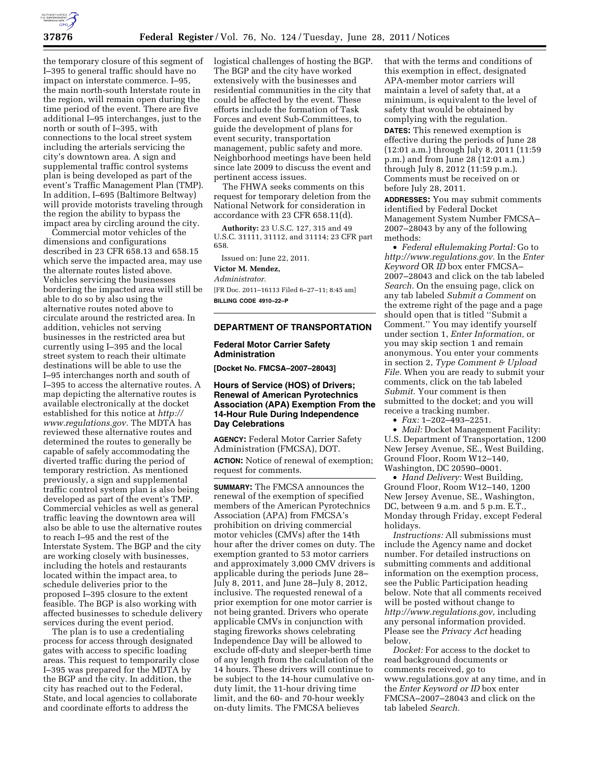

the temporary closure of this segment of I–395 to general traffic should have no impact on interstate commerce. I–95, the main north-south Interstate route in the region, will remain open during the time period of the event. There are five additional I–95 interchanges, just to the north or south of I–395, with connections to the local street system including the arterials servicing the city's downtown area. A sign and supplemental traffic control systems plan is being developed as part of the event's Traffic Management Plan (TMP). In addition, I–695 (Baltimore Beltway) will provide motorists traveling through the region the ability to bypass the impact area by circling around the city.

Commercial motor vehicles of the dimensions and configurations described in 23 CFR 658.13 and 658.15 which serve the impacted area, may use the alternate routes listed above. Vehicles servicing the businesses bordering the impacted area will still be able to do so by also using the alternative routes noted above to circulate around the restricted area. In addition, vehicles not serving businesses in the restricted area but currently using I–395 and the local street system to reach their ultimate destinations will be able to use the I–95 interchanges north and south of I–395 to access the alternative routes. A map depicting the alternative routes is available electronically at the docket established for this notice at *[http://](http://www.regulations.gov) [www.regulations.gov.](http://www.regulations.gov)* The MDTA has reviewed these alternative routes and determined the routes to generally be capable of safely accommodating the diverted traffic during the period of temporary restriction. As mentioned previously, a sign and supplemental traffic control system plan is also being developed as part of the event's TMP. Commercial vehicles as well as general traffic leaving the downtown area will also be able to use the alternative routes to reach I–95 and the rest of the Interstate System. The BGP and the city are working closely with businesses, including the hotels and restaurants located within the impact area, to schedule deliveries prior to the proposed I–395 closure to the extent feasible. The BGP is also working with affected businesses to schedule delivery services during the event period.

The plan is to use a credentialing process for access through designated gates with access to specific loading areas. This request to temporarily close I–395 was prepared for the MDTA by the BGP and the city. In addition, the city has reached out to the Federal, State, and local agencies to collaborate and coordinate efforts to address the

logistical challenges of hosting the BGP. The BGP and the city have worked extensively with the businesses and residential communities in the city that could be affected by the event. These efforts include the formation of Task Forces and event Sub-Committees, to guide the development of plans for event security, transportation management, public safety and more. Neighborhood meetings have been held since late 2009 to discuss the event and pertinent access issues.

The FHWA seeks comments on this request for temporary deletion from the National Network for consideration in accordance with 23 CFR 658.11(d).

**Authority:** 23 U.S.C. 127, 315 and 49 U.S.C. 31111, 31112, and 31114; 23 CFR part 658.

Issued on: June 22, 2011.

# **Victor M. Mendez,**

*Administrator.* 

[FR Doc. 2011–16113 Filed 6–27–11; 8:45 am] **BILLING CODE 4910–22–P** 

### **DEPARTMENT OF TRANSPORTATION**

## **Federal Motor Carrier Safety Administration**

**[Docket No. FMCSA–2007–28043]** 

# **Hours of Service (HOS) of Drivers; Renewal of American Pyrotechnics Association (APA) Exemption From the 14-Hour Rule During Independence Day Celebrations**

**AGENCY:** Federal Motor Carrier Safety Administration (FMCSA), DOT. **ACTION:** Notice of renewal of exemption; request for comments.

**SUMMARY:** The FMCSA announces the renewal of the exemption of specified members of the American Pyrotechnics Association (APA) from FMCSA's prohibition on driving commercial motor vehicles (CMVs) after the 14th hour after the driver comes on duty. The exemption granted to 53 motor carriers and approximately 3,000 CMV drivers is applicable during the periods June 28– July 8, 2011, and June 28–July 8, 2012, inclusive. The requested renewal of a prior exemption for one motor carrier is not being granted. Drivers who operate applicable CMVs in conjunction with staging fireworks shows celebrating Independence Day will be allowed to exclude off-duty and sleeper-berth time of any length from the calculation of the 14 hours. These drivers will continue to be subject to the 14-hour cumulative onduty limit, the 11-hour driving time limit, and the 60- and 70-hour weekly on-duty limits. The FMCSA believes

that with the terms and conditions of this exemption in effect, designated APA-member motor carriers will maintain a level of safety that, at a minimum, is equivalent to the level of safety that would be obtained by complying with the regulation.

**DATES:** This renewed exemption is effective during the periods of June 28 (12:01 a.m.) through July 8, 2011 (11:59 p.m.) and from June 28 (12:01 a.m.) through July 8, 2012 (11:59 p.m.). Comments must be received on or before July 28, 2011.

**ADDRESSES:** You may submit comments identified by Federal Docket Management System Number FMCSA– 2007–28043 by any of the following methods:

• *Federal eRulemaking Portal:* Go to *[http://www.regulations.gov.](http://www.regulations.gov)* In the *Enter Keyword* OR *ID* box enter FMCSA– 2007–28043 and click on the tab labeled *Search.* On the ensuing page, click on any tab labeled *Submit a Comment* on the extreme right of the page and a page should open that is titled ''Submit a Comment.'' You may identify yourself under section 1, *Enter Information,* or you may skip section 1 and remain anonymous. You enter your comments in section 2, *Type Comment & Upload File.* When you are ready to submit your comments, click on the tab labeled *Submit.* Your comment is then submitted to the docket; and you will receive a tracking number.

• *Fax:* 1–202–493–2251.

• *Mail:* Docket Management Facility: U.S. Department of Transportation, 1200 New Jersey Avenue, SE., West Building, Ground Floor, Room W12–140, Washington, DC 20590–0001.

• *Hand Delivery:* West Building, Ground Floor, Room W12–140, 1200 New Jersey Avenue, SE., Washington, DC, between 9 a.m. and 5 p.m. E.T., Monday through Friday, except Federal holidays.

*Instructions:* All submissions must include the Agency name and docket number. For detailed instructions on submitting comments and additional information on the exemption process, see the Public Participation heading below. Note that all comments received will be posted without change to *[http://www.regulations.gov,](http://www.regulations.gov)* including any personal information provided. Please see the *Privacy Act* heading below.

*Docket:* For access to the docket to read background documents or comments received, go to www.regulations.gov at any time, and in the *Enter Keyword or ID* box enter FMCSA–2007–28043 and click on the tab labeled *Search.*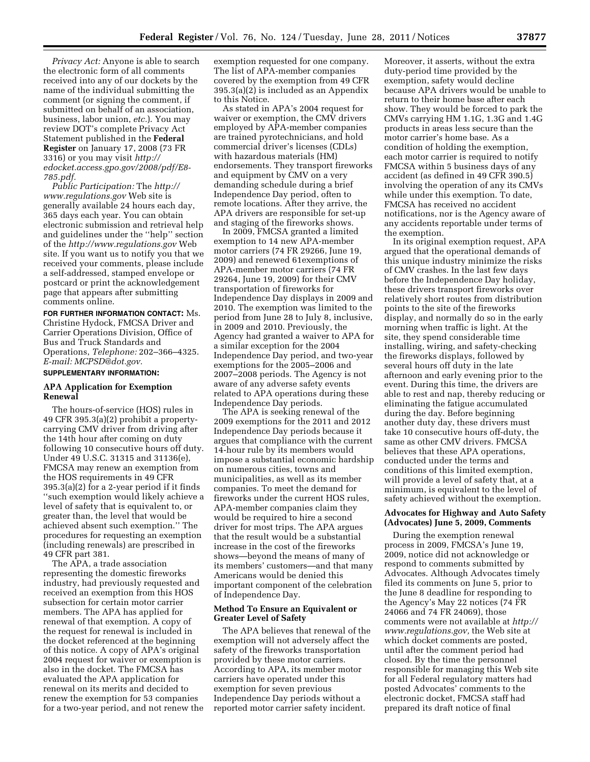*Privacy Act:* Anyone is able to search the electronic form of all comments received into any of our dockets by the name of the individual submitting the comment (or signing the comment, if submitted on behalf of an association, business, labor union, *etc.*). You may review DOT's complete Privacy Act Statement published in the **Federal Register** on January 17, 2008 (73 FR 3316) or you may visit *[http://](http://edocket.access.gpo.gov/2008/pdf/E8-785.pdf) [edocket.access.gpo.gov/2008/pdf/E8-](http://edocket.access.gpo.gov/2008/pdf/E8-785.pdf) [785.pdf.](http://edocket.access.gpo.gov/2008/pdf/E8-785.pdf)* 

*Public Participation:* The *[http://](http://www.regulations.gov)  [www.regulations.gov](http://www.regulations.gov)* Web site is generally available 24 hours each day, 365 days each year. You can obtain electronic submission and retrieval help and guidelines under the ''help'' section of the *<http://www.regulations.gov>* Web site. If you want us to notify you that we received your comments, please include a self-addressed, stamped envelope or postcard or print the acknowledgement page that appears after submitting comments online.

**FOR FURTHER INFORMATION CONTACT:** Ms. Christine Hydock, FMCSA Driver and Carrier Operations Division, Office of Bus and Truck Standards and Operations, *Telephone:* 202–366–4325. *E-mail: [MCPSD@dot.gov.](mailto:MCPSD@dot.gov)* 

## **SUPPLEMENTARY INFORMATION:**

### **APA Application for Exemption Renewal**

The hours-of-service (HOS) rules in 49 CFR 395.3(a)(2) prohibit a propertycarrying CMV driver from driving after the 14th hour after coming on duty following 10 consecutive hours off duty. Under 49 U.S.C. 31315 and 31136(e), FMCSA may renew an exemption from the HOS requirements in 49 CFR 395.3(a)(2) for a 2-year period if it finds ''such exemption would likely achieve a level of safety that is equivalent to, or greater than, the level that would be achieved absent such exemption.'' The procedures for requesting an exemption (including renewals) are prescribed in 49 CFR part 381.

The APA, a trade association representing the domestic fireworks industry, had previously requested and received an exemption from this HOS subsection for certain motor carrier members. The APA has applied for renewal of that exemption. A copy of the request for renewal is included in the docket referenced at the beginning of this notice. A copy of APA's original 2004 request for waiver or exemption is also in the docket. The FMCSA has evaluated the APA application for renewal on its merits and decided to renew the exemption for 53 companies for a two-year period, and not renew the exemption requested for one company. The list of APA-member companies covered by the exemption from 49 CFR 395.3(a)(2) is included as an Appendix to this Notice.

As stated in APA's 2004 request for waiver or exemption, the CMV drivers employed by APA-member companies are trained pyrotechnicians, and hold commercial driver's licenses (CDLs) with hazardous materials (HM) endorsements. They transport fireworks and equipment by CMV on a very demanding schedule during a brief Independence Day period, often to remote locations. After they arrive, the APA drivers are responsible for set-up and staging of the fireworks shows.

In 2009, FMCSA granted a limited exemption to 14 new APA-member motor carriers (74 FR 29266, June 19, 2009) and renewed 61exemptions of APA-member motor carriers (74 FR 29264, June 19, 2009) for their CMV transportation of fireworks for Independence Day displays in 2009 and 2010. The exemption was limited to the period from June 28 to July 8, inclusive, in 2009 and 2010. Previously, the Agency had granted a waiver to APA for a similar exception for the 2004 Independence Day period, and two-year exemptions for the 2005–2006 and 2007–2008 periods. The Agency is not aware of any adverse safety events related to APA operations during these Independence Day periods.

The APA is seeking renewal of the 2009 exemptions for the 2011 and 2012 Independence Day periods because it argues that compliance with the current 14-hour rule by its members would impose a substantial economic hardship on numerous cities, towns and municipalities, as well as its member companies. To meet the demand for fireworks under the current HOS rules, APA-member companies claim they would be required to hire a second driver for most trips. The APA argues that the result would be a substantial increase in the cost of the fireworks shows—beyond the means of many of its members' customers—and that many Americans would be denied this important component of the celebration of Independence Day.

## **Method To Ensure an Equivalent or Greater Level of Safety**

The APA believes that renewal of the exemption will not adversely affect the safety of the fireworks transportation provided by these motor carriers. According to APA, its member motor carriers have operated under this exemption for seven previous Independence Day periods without a reported motor carrier safety incident.

Moreover, it asserts, without the extra duty-period time provided by the exemption, safety would decline because APA drivers would be unable to return to their home base after each show. They would be forced to park the CMVs carrying HM 1.1G, 1.3G and 1.4G products in areas less secure than the motor carrier's home base. As a condition of holding the exemption, each motor carrier is required to notify FMCSA within 5 business days of any accident (as defined in 49 CFR 390.5) involving the operation of any its CMVs while under this exemption. To date, FMCSA has received no accident notifications, nor is the Agency aware of any accidents reportable under terms of the exemption.

In its original exemption request, APA argued that the operational demands of this unique industry minimize the risks of CMV crashes. In the last few days before the Independence Day holiday, these drivers transport fireworks over relatively short routes from distribution points to the site of the fireworks display, and normally do so in the early morning when traffic is light. At the site, they spend considerable time installing, wiring, and safety-checking the fireworks displays, followed by several hours off duty in the late afternoon and early evening prior to the event. During this time, the drivers are able to rest and nap, thereby reducing or eliminating the fatigue accumulated during the day. Before beginning another duty day, these drivers must take 10 consecutive hours off-duty, the same as other CMV drivers. FMCSA believes that these APA operations, conducted under the terms and conditions of this limited exemption, will provide a level of safety that, at a minimum, is equivalent to the level of safety achieved without the exemption.

### **Advocates for Highway and Auto Safety (Advocates) June 5, 2009, Comments**

During the exemption renewal process in 2009, FMCSA's June 19, 2009, notice did not acknowledge or respond to comments submitted by Advocates. Although Advocates timely filed its comments on June 5, prior to the June 8 deadline for responding to the Agency's May 22 notices (74 FR 24066 and 74 FR 24069), those comments were not available at *[http://](http://www.regulations.gov) [www.regulations.gov,](http://www.regulations.gov)* the Web site at which docket comments are posted, until after the comment period had closed. By the time the personnel responsible for managing this Web site for all Federal regulatory matters had posted Advocates' comments to the electronic docket, FMCSA staff had prepared its draft notice of final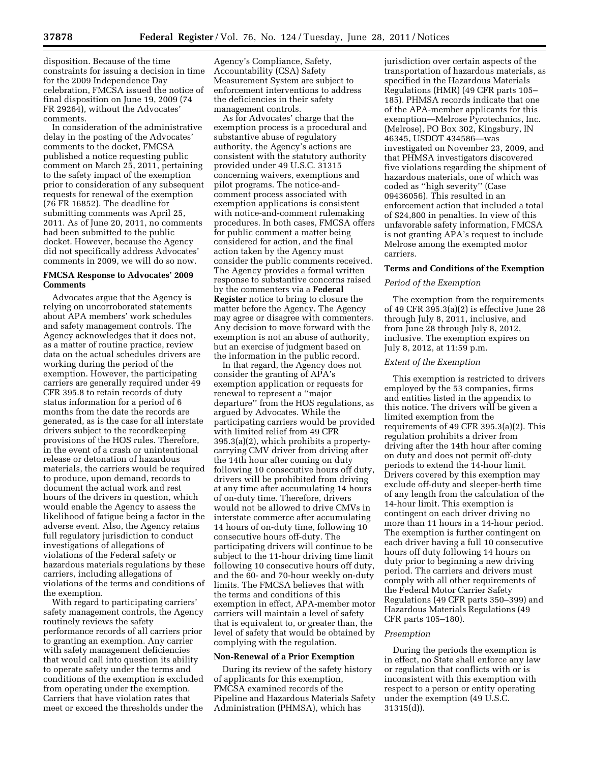disposition. Because of the time constraints for issuing a decision in time for the 2009 Independence Day celebration, FMCSA issued the notice of final disposition on June 19, 2009 (74 FR 29264), without the Advocates' comments.

In consideration of the administrative delay in the posting of the Advocates' comments to the docket, FMCSA published a notice requesting public comment on March 25, 2011, pertaining to the safety impact of the exemption prior to consideration of any subsequent requests for renewal of the exemption (76 FR 16852). The deadline for submitting comments was April 25, 2011. As of June 20, 2011, no comments had been submitted to the public docket. However, because the Agency did not specifically address Advocates' comments in 2009, we will do so now.

# **FMCSA Response to Advocates' 2009 Comments**

Advocates argue that the Agency is relying on uncorroborated statements about APA members' work schedules and safety management controls. The Agency acknowledges that it does not, as a matter of routine practice, review data on the actual schedules drivers are working during the period of the exemption. However, the participating carriers are generally required under 49 CFR 395.8 to retain records of duty status information for a period of 6 months from the date the records are generated, as is the case for all interstate drivers subject to the recordkeeping provisions of the HOS rules. Therefore, in the event of a crash or unintentional release or detonation of hazardous materials, the carriers would be required to produce, upon demand, records to document the actual work and rest hours of the drivers in question, which would enable the Agency to assess the likelihood of fatigue being a factor in the adverse event. Also, the Agency retains full regulatory jurisdiction to conduct investigations of allegations of violations of the Federal safety or hazardous materials regulations by these carriers, including allegations of violations of the terms and conditions of the exemption.

With regard to participating carriers' safety management controls, the Agency routinely reviews the safety performance records of all carriers prior to granting an exemption. Any carrier with safety management deficiencies that would call into question its ability to operate safety under the terms and conditions of the exemption is excluded from operating under the exemption. Carriers that have violation rates that meet or exceed the thresholds under the

Agency's Compliance, Safety, Accountability (CSA) Safety Measurement System are subject to enforcement interventions to address the deficiencies in their safety management controls.

As for Advocates' charge that the exemption process is a procedural and substantive abuse of regulatory authority, the Agency's actions are consistent with the statutory authority provided under 49 U.S.C. 31315 concerning waivers, exemptions and pilot programs. The notice-andcomment process associated with exemption applications is consistent with notice-and-comment rulemaking procedures. In both cases, FMCSA offers for public comment a matter being considered for action, and the final action taken by the Agency must consider the public comments received. The Agency provides a formal written response to substantive concerns raised by the commenters via a **Federal Register** notice to bring to closure the matter before the Agency. The Agency may agree or disagree with commenters. Any decision to move forward with the exemption is not an abuse of authority, but an exercise of judgment based on the information in the public record.

In that regard, the Agency does not consider the granting of APA's exemption application or requests for renewal to represent a ''major departure'' from the HOS regulations, as argued by Advocates. While the participating carriers would be provided with limited relief from 49 CFR 395.3(a)(2), which prohibits a propertycarrying CMV driver from driving after the 14th hour after coming on duty following 10 consecutive hours off duty, drivers will be prohibited from driving at any time after accumulating 14 hours of on-duty time. Therefore, drivers would not be allowed to drive CMVs in interstate commerce after accumulating 14 hours of on-duty time, following 10 consecutive hours off-duty. The participating drivers will continue to be subject to the 11-hour driving time limit following 10 consecutive hours off duty, and the 60- and 70-hour weekly on-duty limits. The FMCSA believes that with the terms and conditions of this exemption in effect, APA-member motor carriers will maintain a level of safety that is equivalent to, or greater than, the level of safety that would be obtained by complying with the regulation.

#### **Non-Renewal of a Prior Exemption**

During its review of the safety history of applicants for this exemption, FMCSA examined records of the Pipeline and Hazardous Materials Safety Administration (PHMSA), which has

jurisdiction over certain aspects of the transportation of hazardous materials, as specified in the Hazardous Materials Regulations (HMR) (49 CFR parts 105– 185). PHMSA records indicate that one of the APA-member applicants for this exemption—Melrose Pyrotechnics, Inc. (Melrose), PO Box 302, Kingsbury, IN 46345, USDOT 434586—was investigated on November 23, 2009, and that PHMSA investigators discovered five violations regarding the shipment of hazardous materials, one of which was coded as ''high severity'' (Case 09436056). This resulted in an enforcement action that included a total of \$24,800 in penalties. In view of this unfavorable safety information, FMCSA is not granting APA's request to include Melrose among the exempted motor carriers.

### **Terms and Conditions of the Exemption**

#### *Period of the Exemption*

The exemption from the requirements of 49 CFR 395.3(a)(2) is effective June 28 through July 8, 2011, inclusive, and from June 28 through July 8, 2012, inclusive. The exemption expires on July 8, 2012, at 11:59 p.m.

#### *Extent of the Exemption*

This exemption is restricted to drivers employed by the 53 companies, firms and entities listed in the appendix to this notice. The drivers will be given a limited exemption from the requirements of 49 CFR 395.3(a)(2). This regulation prohibits a driver from driving after the 14th hour after coming on duty and does not permit off-duty periods to extend the 14-hour limit. Drivers covered by this exemption may exclude off-duty and sleeper-berth time of any length from the calculation of the 14-hour limit. This exemption is contingent on each driver driving no more than 11 hours in a 14-hour period. The exemption is further contingent on each driver having a full 10 consecutive hours off duty following 14 hours on duty prior to beginning a new driving period. The carriers and drivers must comply with all other requirements of the Federal Motor Carrier Safety Regulations (49 CFR parts 350–399) and Hazardous Materials Regulations (49 CFR parts 105–180).

## *Preemption*

During the periods the exemption is in effect, no State shall enforce any law or regulation that conflicts with or is inconsistent with this exemption with respect to a person or entity operating under the exemption (49 U.S.C. 31315(d)).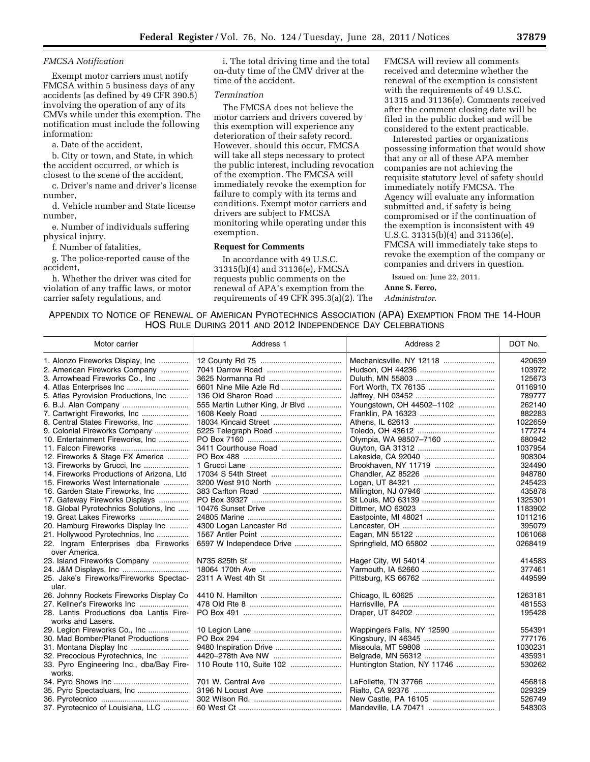### *FMCSA Notification*

Exempt motor carriers must notify FMCSA within 5 business days of any accidents (as defined by 49 CFR 390.5) involving the operation of any of its CMVs while under this exemption. The notification must include the following information:

a. Date of the accident,

b. City or town, and State, in which the accident occurred, or which is closest to the scene of the accident,

c. Driver's name and driver's license number,

d. Vehicle number and State license number,

e. Number of individuals suffering physical injury,

f. Number of fatalities,

g. The police-reported cause of the accident,

h. Whether the driver was cited for violation of any traffic laws, or motor carrier safety regulations, and

i. The total driving time and the total on-duty time of the CMV driver at the time of the accident.

# *Termination*

The FMCSA does not believe the motor carriers and drivers covered by this exemption will experience any deterioration of their safety record. However, should this occur, FMCSA will take all steps necessary to protect the public interest, including revocation of the exemption. The FMCSA will immediately revoke the exemption for failure to comply with its terms and conditions. Exempt motor carriers and drivers are subject to FMCSA monitoring while operating under this exemption.

### **Request for Comments**

In accordance with 49 U.S.C. 31315(b)(4) and 31136(e), FMCSA requests public comments on the renewal of APA's exemption from the requirements of 49 CFR 395.3(a)(2). The FMCSA will review all comments received and determine whether the renewal of the exemption is consistent with the requirements of 49 U.S.C. 31315 and 31136(e). Comments received after the comment closing date will be filed in the public docket and will be considered to the extent practicable.

Interested parties or organizations possessing information that would show that any or all of these APA member companies are not achieving the requisite statutory level of safety should immediately notify FMCSA. The Agency will evaluate any information submitted and, if safety is being compromised or if the continuation of the exemption is inconsistent with 49 U.S.C. 31315(b)(4) and 31136(e), FMCSA will immediately take steps to revoke the exemption of the company or companies and drivers in question.

Issued on: June 22, 2011.

**Anne S. Ferro,** 

## *Administrator.*

# APPENDIX TO NOTICE OF RENEWAL OF AMERICAN PYROTECHNICS ASSOCIATION (APA) EXEMPTION FROM THE 14-HOUR HOS RULE DURING 2011 AND 2012 INDEPENDENCE DAY CELEBRATIONS

| Motor carrier                                                | Address 1                       | Address 2                    | DOT No. |
|--------------------------------------------------------------|---------------------------------|------------------------------|---------|
| 1. Alonzo Fireworks Display, Inc                             |                                 |                              | 420639  |
| 2. American Fireworks Company                                |                                 |                              | 103972  |
| 3. Arrowhead Fireworks Co., Inc                              |                                 |                              | 125673  |
|                                                              | 6601 Nine Mile Azle Rd          |                              | 0116910 |
| 5. Atlas Pyrovision Productions, Inc                         |                                 |                              | 789777  |
| 6. B.J. Alan Company                                         | 555 Martin Luther King, Jr Blvd | Youngstown, OH 44502-1102    | 262140  |
| 7. Cartwright Fireworks, Inc                                 |                                 |                              | 882283  |
| 8. Central States Fireworks, Inc                             |                                 |                              | 1022659 |
| 9. Colonial Fireworks Company                                |                                 |                              | 177274  |
| 10. Entertainment Fireworks, Inc                             |                                 | Olympia, WA 98507-7160       | 680942  |
|                                                              | 3411 Courthouse Road            |                              | 1037954 |
| 12. Fireworks & Stage FX America                             |                                 |                              | 908304  |
| 13. Fireworks by Grucci, Inc                                 |                                 | Brookhaven, NY 11719         | 324490  |
| 14. Fireworks Productions of Arizona. Ltd.                   |                                 |                              | 948780  |
| 15. Fireworks West Internationale                            |                                 |                              | 245423  |
| 16. Garden State Fireworks. Inc                              |                                 | Millington, NJ 07946         | 435878  |
| 17. Gateway Fireworks Displays                               |                                 |                              | 1325301 |
| 18. Global Pyrotechnics Solutions, Inc                       |                                 |                              | 1183902 |
| 19. Great Lakes Fireworks                                    |                                 |                              | 1011216 |
| 20. Hamburg Fireworks Display Inc                            | 4300 Logan Lancaster Rd         |                              | 395079  |
| 21. Hollywood Pyrotechnics, Inc                              |                                 |                              | 1061068 |
| 22. Ingram Enterprises dba Fireworks                         | 6597 W Independece Drive        |                              | 0268419 |
| over America.                                                |                                 |                              |         |
| 23. Island Fireworks Company                                 |                                 |                              | 414583  |
|                                                              |                                 |                              | 377461  |
| 25. Jake's Fireworks/Fireworks Spectac-                      |                                 |                              | 449599  |
| ular.                                                        |                                 |                              |         |
| 26. Johnny Rockets Fireworks Display Co                      |                                 |                              | 1263181 |
| 27. Kellner's Fireworks Inc                                  |                                 |                              | 481553  |
| 28. Lantis Productions dba Lantis Fire-<br>works and Lasers. |                                 |                              | 195428  |
| 29. Legion Fireworks Co., Inc                                |                                 | Wappingers Falls, NY 12590   | 554391  |
| 30. Mad Bomber/Planet Productions                            |                                 |                              | 777176  |
|                                                              | 9480 Inspiration Drive          |                              | 1030231 |
| 32. Precocious Pyrotechnics, Inc                             |                                 |                              | 435931  |
| 33. Pyro Engineering Inc., dba/Bay Fire-                     | 110 Route 110, Suite 102        | Huntington Station, NY 11746 | 530262  |
| works.                                                       |                                 |                              |         |
|                                                              |                                 |                              | 456818  |
| 35. Pyro Spectacluars, Inc                                   |                                 |                              | 029329  |
|                                                              |                                 |                              | 526749  |
| 37. Pyrotecnico of Louisiana, LLC                            |                                 | Mandeville, LA 70471         | 548303  |